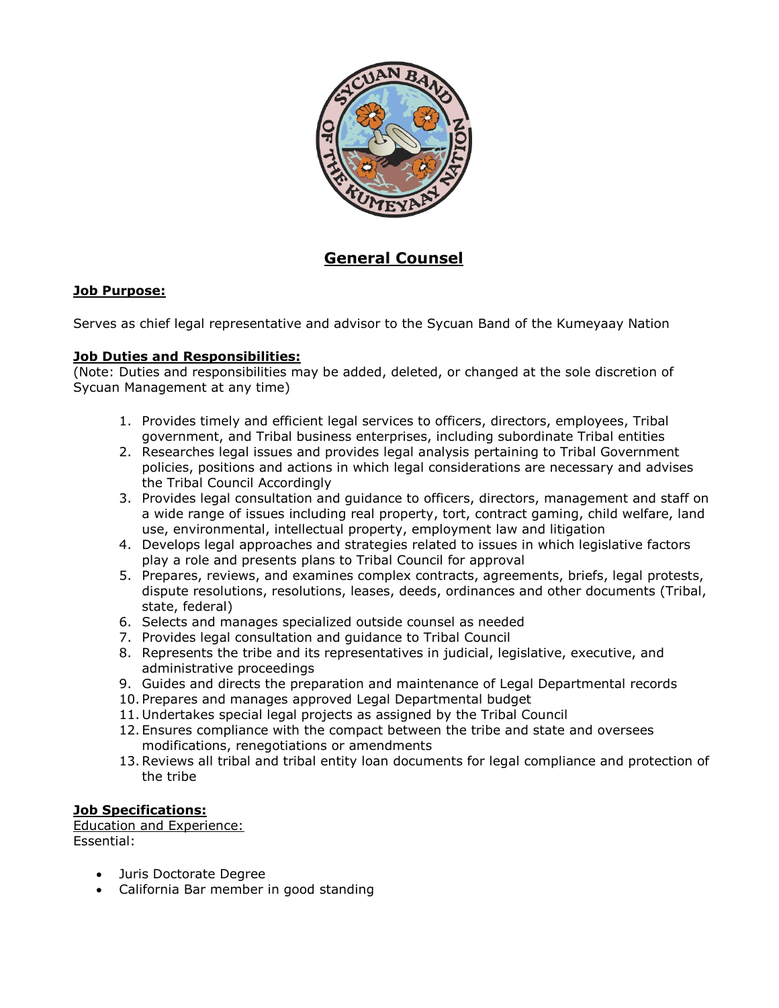

# **General Counsel**

## **Job Purpose:**

Serves as chief legal representative and advisor to the Sycuan Band of the Kumeyaay Nation

#### **Job Duties and Responsibilities:**

(Note: Duties and responsibilities may be added, deleted, or changed at the sole discretion of Sycuan Management at any time)

- 1. Provides timely and efficient legal services to officers, directors, employees, Tribal government, and Tribal business enterprises, including subordinate Tribal entities
- 2. Researches legal issues and provides legal analysis pertaining to Tribal Government policies, positions and actions in which legal considerations are necessary and advises the Tribal Council Accordingly
- 3. Provides legal consultation and guidance to officers, directors, management and staff on a wide range of issues including real property, tort, contract gaming, child welfare, land use, environmental, intellectual property, employment law and litigation
- 4. Develops legal approaches and strategies related to issues in which legislative factors play a role and presents plans to Tribal Council for approval
- 5. Prepares, reviews, and examines complex contracts, agreements, briefs, legal protests, dispute resolutions, resolutions, leases, deeds, ordinances and other documents (Tribal, state, federal)
- 6. Selects and manages specialized outside counsel as needed
- 7. Provides legal consultation and guidance to Tribal Council
- 8. Represents the tribe and its representatives in judicial, legislative, executive, and administrative proceedings
- 9. Guides and directs the preparation and maintenance of Legal Departmental records
- 10. Prepares and manages approved Legal Departmental budget
- 11. Undertakes special legal projects as assigned by the Tribal Council
- 12. Ensures compliance with the compact between the tribe and state and oversees modifications, renegotiations or amendments
- 13.Reviews all tribal and tribal entity loan documents for legal compliance and protection of the tribe

### **Job Specifications:**

Education and Experience: Essential:

- Juris Doctorate Degree
- California Bar member in good standing